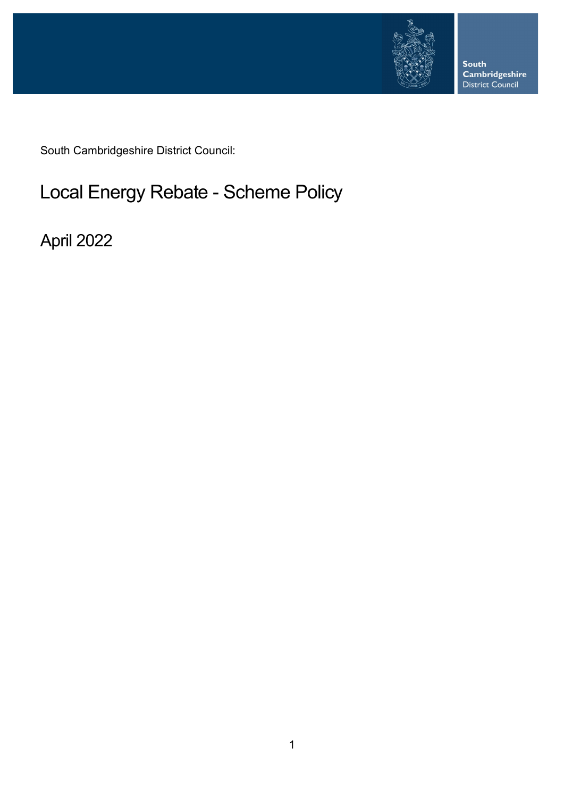

**South Cambridgeshire**<br>District Council

South Cambridgeshire District Council:

# Local Energy Rebate - Scheme Policy

April 2022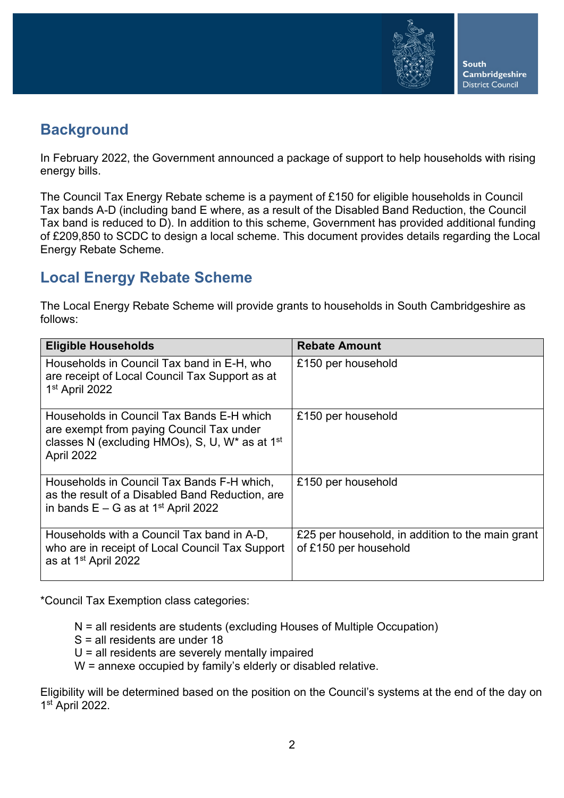

**South Cambridgeshire District Council** 

## **Background**

In February 2022, the Government announced a package of support to help households with rising energy bills.

The Council Tax Energy Rebate scheme is a payment of £150 for eligible households in Council Tax bands A-D (including band E where, as a result of the Disabled Band Reduction, the Council Tax band is reduced to D). In addition to this scheme, Government has provided additional funding of £209,850 to SCDC to design a local scheme. This document provides details regarding the Local Energy Rebate Scheme.

## **Local Energy Rebate Scheme**

The Local Energy Rebate Scheme will provide grants to households in South Cambridgeshire as follows:

| <b>Eligible Households</b>                                                                                                                                           | <b>Rebate Amount</b>                                                      |
|----------------------------------------------------------------------------------------------------------------------------------------------------------------------|---------------------------------------------------------------------------|
| Households in Council Tax band in E-H, who<br>are receipt of Local Council Tax Support as at<br>1 <sup>st</sup> April 2022                                           | £150 per household                                                        |
| Households in Council Tax Bands E-H which<br>are exempt from paying Council Tax under<br>classes N (excluding HMOs), S, U, $W^*$ as at 1 <sup>st</sup><br>April 2022 | £150 per household                                                        |
| Households in Council Tax Bands F-H which,<br>as the result of a Disabled Band Reduction, are<br>in bands $E - G$ as at 1 <sup>st</sup> April 2022                   | £150 per household                                                        |
| Households with a Council Tax band in A-D,<br>who are in receipt of Local Council Tax Support<br>as at 1 <sup>st</sup> April 2022                                    | £25 per household, in addition to the main grant<br>of £150 per household |

\*Council Tax Exemption class categories:

N = all residents are students (excluding Houses of Multiple Occupation)

- S = all residents are under 18
- U = all residents are severely mentally impaired
- W = annexe occupied by family's elderly or disabled relative.

Eligibility will be determined based on the position on the Council's systems at the end of the day on 1st April 2022.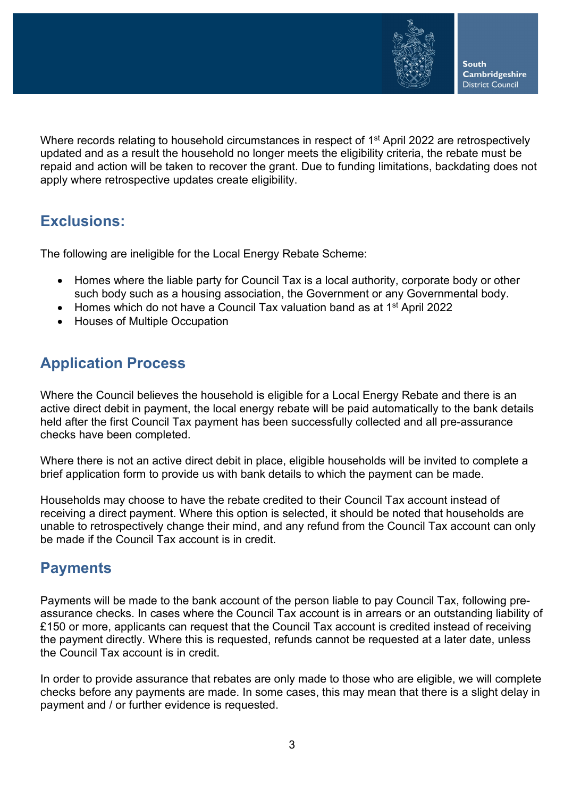

**South Cambridgeshire District Council** 

Where records relating to household circumstances in respect of 1<sup>st</sup> April 2022 are retrospectively updated and as a result the household no longer meets the eligibility criteria, the rebate must be repaid and action will be taken to recover the grant. Due to funding limitations, backdating does not apply where retrospective updates create eligibility.

#### **Exclusions:**

The following are ineligible for the Local Energy Rebate Scheme:

- Homes where the liable party for Council Tax is a local authority, corporate body or other such body such as a housing association, the Government or any Governmental body.
- Homes which do not have a Council Tax valuation band as at 1<sup>st</sup> April 2022
- Houses of Multiple Occupation

### **Application Process**

Where the Council believes the household is eligible for a Local Energy Rebate and there is an active direct debit in payment, the local energy rebate will be paid automatically to the bank details held after the first Council Tax payment has been successfully collected and all pre-assurance checks have been completed.

Where there is not an active direct debit in place, eligible households will be invited to complete a brief application form to provide us with bank details to which the payment can be made.

Households may choose to have the rebate credited to their Council Tax account instead of receiving a direct payment. Where this option is selected, it should be noted that households are unable to retrospectively change their mind, and any refund from the Council Tax account can only be made if the Council Tax account is in credit.

### **Payments**

Payments will be made to the bank account of the person liable to pay Council Tax, following preassurance checks. In cases where the Council Tax account is in arrears or an outstanding liability of £150 or more, applicants can request that the Council Tax account is credited instead of receiving the payment directly. Where this is requested, refunds cannot be requested at a later date, unless the Council Tax account is in credit.

In order to provide assurance that rebates are only made to those who are eligible, we will complete checks before any payments are made. In some cases, this may mean that there is a slight delay in payment and / or further evidence is requested.